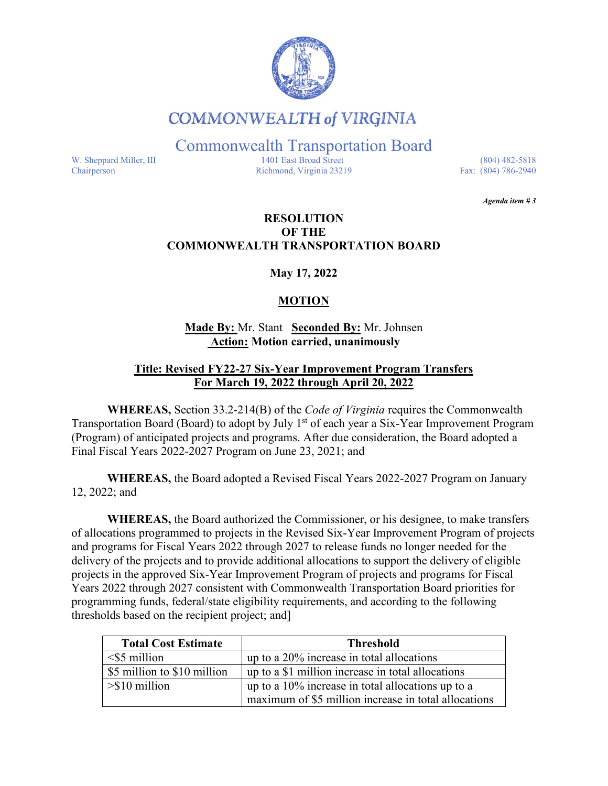

# **COMMONWEALTH of VIRGINIA**

Commonwealth Transportation Board

W. Sheppard Miller, III 1401 East Broad Street (804) 482-5818<br>Chairperson Richmond, Virginia 23219 Fax: (804) 786-2940 Richmond, Virginia 23219

*Agenda item # 3* 

### **RESOLUTION OF THE COMMONWEALTH TRANSPORTATION BOARD**

**May 17, 2022**

## **MOTION**

**Made By:** Mr. Stant **Seconded By:** Mr. Johnsen **Action: Motion carried, unanimously**

### **Title: Revised FY22-27 Six-Year Improvement Program Transfers For March 19, 2022 through April 20, 2022**

**WHEREAS,** Section 33.2-214(B) of the *Code of Virginia* requires the Commonwealth Transportation Board (Board) to adopt by July 1<sup>st</sup> of each year a Six-Year Improvement Program (Program) of anticipated projects and programs. After due consideration, the Board adopted a Final Fiscal Years 2022-2027 Program on June 23, 2021; and

**WHEREAS,** the Board adopted a Revised Fiscal Years 2022-2027 Program on January 12, 2022; and

**WHEREAS,** the Board authorized the Commissioner, or his designee, to make transfers of allocations programmed to projects in the Revised Six-Year Improvement Program of projects and programs for Fiscal Years 2022 through 2027 to release funds no longer needed for the delivery of the projects and to provide additional allocations to support the delivery of eligible projects in the approved Six-Year Improvement Program of projects and programs for Fiscal Years 2022 through 2027 consistent with Commonwealth Transportation Board priorities for programming funds, federal/state eligibility requirements, and according to the following thresholds based on the recipient project; and]

| <b>Total Cost Estimate</b>    | <b>Threshold</b>                                     |
|-------------------------------|------------------------------------------------------|
| $\leq$ 5 million              | up to a 20% increase in total allocations            |
| \$5 million to \$10 million   | up to a \$1 million increase in total allocations    |
| $>\frac{1}{2}$ > \$10 million | up to a $10\%$ increase in total allocations up to a |
|                               | maximum of \$5 million increase in total allocations |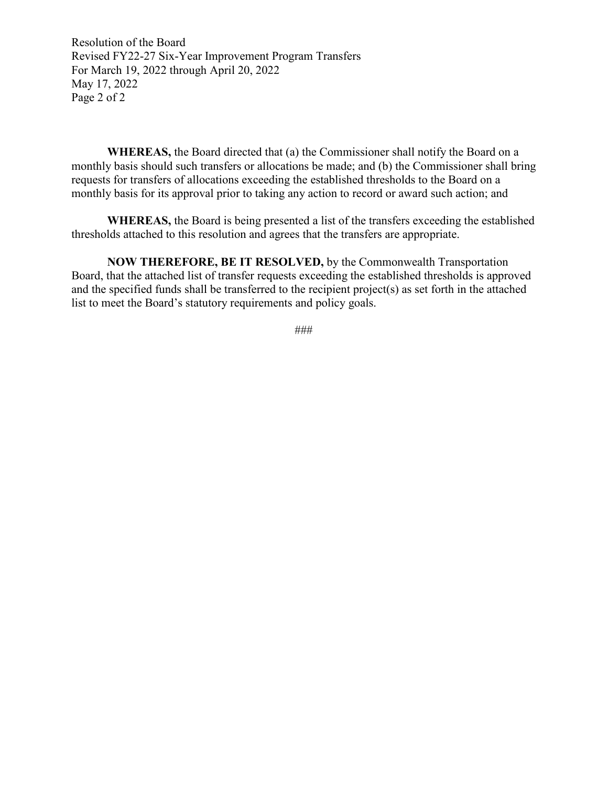Resolution of the Board Revised FY22-27 Six-Year Improvement Program Transfers For March 19, 2022 through April 20, 2022 May 17, 2022 Page 2 of 2

**WHEREAS,** the Board directed that (a) the Commissioner shall notify the Board on a monthly basis should such transfers or allocations be made; and (b) the Commissioner shall bring requests for transfers of allocations exceeding the established thresholds to the Board on a monthly basis for its approval prior to taking any action to record or award such action; and

**WHEREAS,** the Board is being presented a list of the transfers exceeding the established thresholds attached to this resolution and agrees that the transfers are appropriate.

**NOW THEREFORE, BE IT RESOLVED,** by the Commonwealth Transportation Board, that the attached list of transfer requests exceeding the established thresholds is approved and the specified funds shall be transferred to the recipient project(s) as set forth in the attached list to meet the Board's statutory requirements and policy goals.

###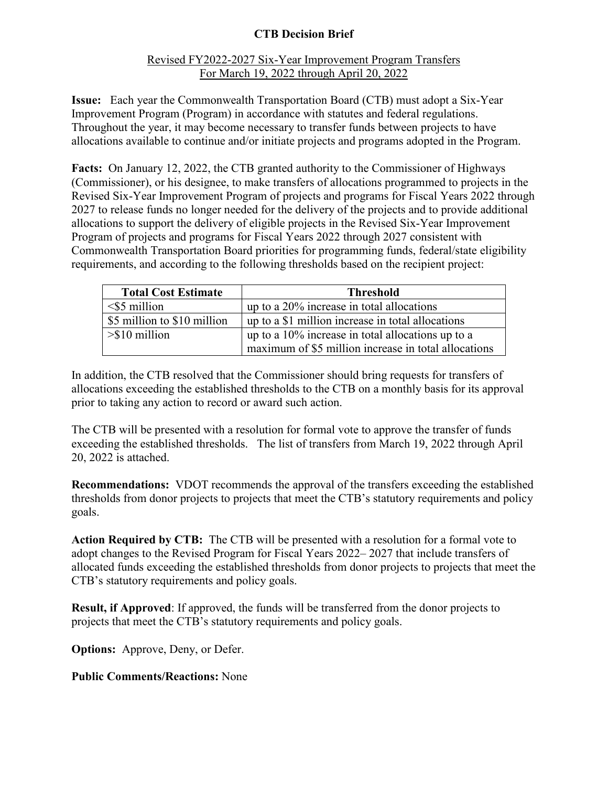# **CTB Decision Brief**

### Revised FY2022-2027 Six-Year Improvement Program Transfers For March 19, 2022 through April 20, 2022

**Issue:** Each year the Commonwealth Transportation Board (CTB) must adopt a Six-Year Improvement Program (Program) in accordance with statutes and federal regulations. Throughout the year, it may become necessary to transfer funds between projects to have allocations available to continue and/or initiate projects and programs adopted in the Program.

Facts: On January 12, 2022, the CTB granted authority to the Commissioner of Highways (Commissioner), or his designee, to make transfers of allocations programmed to projects in the Revised Six-Year Improvement Program of projects and programs for Fiscal Years 2022 through 2027 to release funds no longer needed for the delivery of the projects and to provide additional allocations to support the delivery of eligible projects in the Revised Six-Year Improvement Program of projects and programs for Fiscal Years 2022 through 2027 consistent with Commonwealth Transportation Board priorities for programming funds, federal/state eligibility requirements, and according to the following thresholds based on the recipient project:

| <b>Total Cost Estimate</b>  | <b>Threshold</b>                                     |
|-----------------------------|------------------------------------------------------|
| $\leq$ 5 million            | up to a 20% increase in total allocations            |
| \$5 million to \$10 million | up to a \$1 million increase in total allocations    |
| $> $10$ million             | up to a $10\%$ increase in total allocations up to a |
|                             | maximum of \$5 million increase in total allocations |

In addition, the CTB resolved that the Commissioner should bring requests for transfers of allocations exceeding the established thresholds to the CTB on a monthly basis for its approval prior to taking any action to record or award such action.

The CTB will be presented with a resolution for formal vote to approve the transfer of funds exceeding the established thresholds. The list of transfers from March 19, 2022 through April 20, 2022 is attached.

**Recommendations:** VDOT recommends the approval of the transfers exceeding the established thresholds from donor projects to projects that meet the CTB's statutory requirements and policy goals.

**Action Required by CTB:** The CTB will be presented with a resolution for a formal vote to adopt changes to the Revised Program for Fiscal Years 2022– 2027 that include transfers of allocated funds exceeding the established thresholds from donor projects to projects that meet the CTB's statutory requirements and policy goals.

**Result, if Approved**: If approved, the funds will be transferred from the donor projects to projects that meet the CTB's statutory requirements and policy goals.

**Options:** Approve, Deny, or Defer.

**Public Comments/Reactions:** None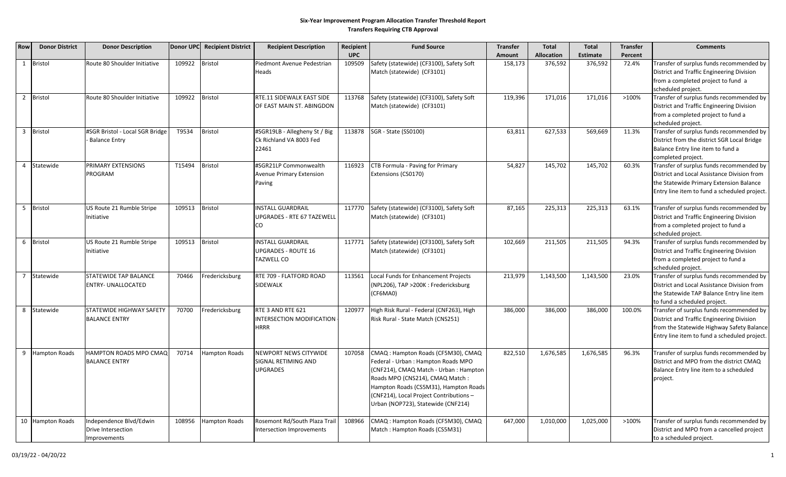#### **Six‐Year Improvement Program Allocation Transfer Threshold Report Transfers Requiring CTB Approval**

| Row            | <b>Donor District</b> | <b>Donor Description</b>                                      |        | Donor UPC Recipient District | <b>Recipient Description</b>                                       | Recipient  | <b>Fund Source</b>                                                                                                                                                                                                                                                                | <b>Transfer</b> | <b>Total</b>      | <b>Total</b> | <b>Transfer</b> | <b>Comments</b>                                                                                                                                                                    |
|----------------|-----------------------|---------------------------------------------------------------|--------|------------------------------|--------------------------------------------------------------------|------------|-----------------------------------------------------------------------------------------------------------------------------------------------------------------------------------------------------------------------------------------------------------------------------------|-----------------|-------------------|--------------|-----------------|------------------------------------------------------------------------------------------------------------------------------------------------------------------------------------|
|                |                       |                                                               |        |                              |                                                                    | <b>UPC</b> |                                                                                                                                                                                                                                                                                   | Amount          | <b>Allocation</b> | Estimate     | Percent         |                                                                                                                                                                                    |
| $\mathbf{1}$   | <b>Bristol</b>        | Route 80 Shoulder Initiative                                  | 109922 | <b>Bristol</b>               | Piedmont Avenue Pedestrian<br>Heads                                | 109509     | Safety (statewide) (CF3100), Safety Soft<br>Match (statewide) (CF3101)                                                                                                                                                                                                            | 158,173         | 376,592           | 376,592      | 72.4%           | Transfer of surplus funds recommended by<br>District and Traffic Engineering Division<br>from a completed project to fund a<br>scheduled project.                                  |
| $\overline{2}$ | <b>Bristol</b>        | Route 80 Shoulder Initiative                                  | 109922 | Bristol                      | RTE.11 SIDEWALK EAST SIDE<br>OF EAST MAIN ST. ABINGDON             | 113768     | Safety (statewide) (CF3100), Safety Soft<br>Match (statewide) (CF3101)                                                                                                                                                                                                            | 119,396         | 171,016           | 171,016      | >100%           | Transfer of surplus funds recommended by<br>District and Traffic Engineering Division<br>from a completed project to fund a<br>scheduled project.                                  |
| $\overline{3}$ | <b>Bristol</b>        | #SGR Bristol - Local SGR Bridge<br><b>Balance Entry</b>       | T9534  | <b>Bristol</b>               | #SGR19LB - Allegheny St / Big<br>Ck Richland VA 8003 Fed<br>22461  |            | 113878 SGR - State (SS0100)                                                                                                                                                                                                                                                       | 63,811          | 627,533           | 569,669      | 11.3%           | Transfer of surplus funds recommended by<br>District from the district SGR Local Bridge<br>Balance Entry line item to fund a<br>completed project.                                 |
| $\overline{4}$ | Statewide             | PRIMARY EXTENSIONS<br>PROGRAM                                 | T15494 | Bristol                      | #SGR21LP Commonwealth<br><b>Avenue Primary Extension</b><br>Paving | 116923     | CTB Formula - Paving for Primary<br>Extensions (CS0170)                                                                                                                                                                                                                           | 54,827          | 145,702           | 145,702      | 60.3%           | Transfer of surplus funds recommended by<br>District and Local Assistance Division from<br>the Statewide Primary Extension Balance<br>Entry line item to fund a scheduled project. |
| 5 <sup>5</sup> | <b>Bristol</b>        | US Route 21 Rumble Stripe<br>Initiative                       | 109513 | Bristol                      | <b>NSTALL GUARDRAIL</b><br>UPGRADES - RTE 67 TAZEWELL<br>CO        | 117770     | Safety (statewide) (CF3100), Safety Soft<br>Match (statewide) (CF3101)                                                                                                                                                                                                            | 87,165          | 225,313           | 225,313      | 63.1%           | Transfer of surplus funds recommended by<br>District and Traffic Engineering Division<br>from a completed project to fund a<br>scheduled project.                                  |
| 6              | <b>Bristol</b>        | US Route 21 Rumble Stripe<br>Initiative                       | 109513 | <b>Bristol</b>               | <b>NSTALL GUARDRAIL</b><br>UPGRADES - ROUTE 16<br>TAZWELL CO       | 117771     | Safety (statewide) (CF3100), Safety Soft<br>Match (statewide) (CF3101)                                                                                                                                                                                                            | 102,669         | 211,505           | 211,505      | 94.3%           | Transfer of surplus funds recommended by<br>District and Traffic Engineering Division<br>from a completed project to fund a<br>scheduled project.                                  |
|                | Statewide             | <b>STATEWIDE TAP BALANCE</b><br><b>ENTRY- UNALLOCATED</b>     | 70466  | Fredericksburg               | RTE 709 - FLATFORD ROAD<br>SIDEWALK                                | 113561     | Local Funds for Enhancement Projects<br>(NPL206), TAP >200K : Fredericksburg<br>(CF6MA0)                                                                                                                                                                                          | 213,979         | 1,143,500         | 1,143,500    | 23.0%           | Transfer of surplus funds recommended by<br>District and Local Assistance Division from<br>the Statewide TAP Balance Entry line item<br>to fund a scheduled project.               |
| 8              | Statewide             | STATEWIDE HIGHWAY SAFETY<br><b>BALANCE ENTRY</b>              | 70700  | Fredericksburg               | RTE 3 AND RTE 621<br>INTERSECTION MODIFICATION<br>HRRR             | 120977     | High Risk Rural - Federal (CNF263), High<br>Risk Rural - State Match (CNS251)                                                                                                                                                                                                     | 386,000         | 386,000           | 386,000      | 100.0%          | Transfer of surplus funds recommended by<br>District and Traffic Engineering Division<br>from the Statewide Highway Safety Balance<br>Entry line item to fund a scheduled project. |
| 9              | <b>Hampton Roads</b>  | HAMPTON ROADS MPO CMAQ<br><b>BALANCE ENTRY</b>                | 70714  | Hampton Roads                | NEWPORT NEWS CITYWIDE<br>SIGNAL RETIMING AND<br><b>UPGRADES</b>    | 107058     | CMAQ : Hampton Roads (CF5M30), CMAQ<br>Federal - Urban: Hampton Roads MPO<br>(CNF214), CMAQ Match - Urban : Hampton<br>Roads MPO (CNS214), CMAQ Match :<br>Hampton Roads (CS5M31), Hampton Roads<br>(CNF214), Local Project Contributions -<br>Urban (NOP723), Statewide (CNF214) | 822,510         | 1,676,585         | 1,676,585    | 96.3%           | Transfer of surplus funds recommended by<br>District and MPO from the district CMAQ<br>Balance Entry line item to a scheduled<br>project.                                          |
|                | 10 Hampton Roads      | Independence Blvd/Edwin<br>Drive Intersection<br>Improvements | 108956 | <b>Hampton Roads</b>         | Rosemont Rd/South Plaza Trail<br>Intersection Improvements         | 108966     | CMAQ: Hampton Roads (CF5M30), CMAQ<br>Match: Hampton Roads (CS5M31)                                                                                                                                                                                                               | 647,000         | 1,010,000         | 1,025,000    | >100%           | Transfer of surplus funds recommended by<br>District and MPO from a cancelled project<br>to a scheduled project.                                                                   |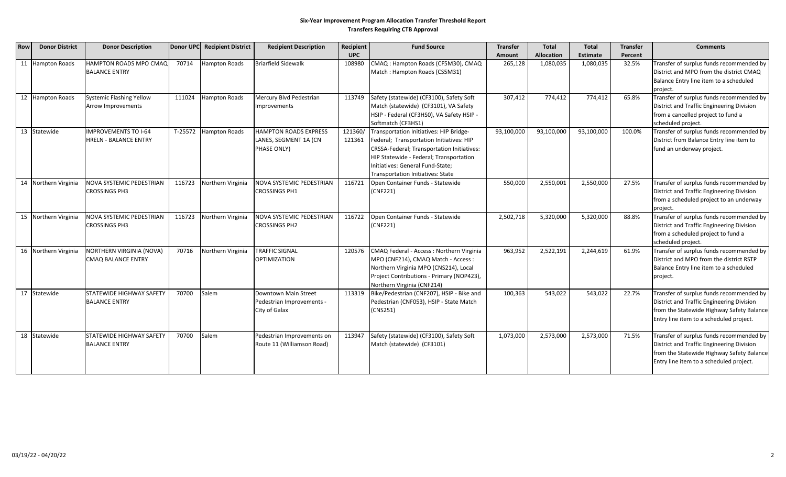#### **Six‐Year Improvement Program Allocation Transfer Threshold Report Transfers Requiring CTB Approval**

| <b>Row</b> | <b>Donor District</b> | <b>Donor Description</b>                                    | Donor UPC | <b>Recipient District</b> | <b>Recipient Description</b>                                         | Recipient         | <b>Fund Source</b>                                                                                                                                                                                                                                           | <b>Transfer</b> | <b>Total</b>      | <b>Total</b> | <b>Transfer</b> | <b>Comments</b>                                                                                                                                                               |
|------------|-----------------------|-------------------------------------------------------------|-----------|---------------------------|----------------------------------------------------------------------|-------------------|--------------------------------------------------------------------------------------------------------------------------------------------------------------------------------------------------------------------------------------------------------------|-----------------|-------------------|--------------|-----------------|-------------------------------------------------------------------------------------------------------------------------------------------------------------------------------|
|            |                       |                                                             |           |                           |                                                                      | <b>UPC</b>        |                                                                                                                                                                                                                                                              | Amount          | <b>Allocation</b> | Estimate     | Percent         |                                                                                                                                                                               |
|            | 11 Hampton Roads      | <b>HAMPTON ROADS MPO CMAQ</b><br><b>BALANCE ENTRY</b>       | 70714     | <b>Hampton Roads</b>      | <b>Briarfield Sidewalk</b>                                           | 108980            | CMAQ: Hampton Roads (CF5M30), CMAQ<br>Match: Hampton Roads (CS5M31)                                                                                                                                                                                          | 265,128         | 1,080,035         | 1,080,035    | 32.5%           | Transfer of surplus funds recommended by<br>District and MPO from the district CMAQ<br>Balance Entry line item to a scheduled<br>project.                                     |
|            | 12 Hampton Roads      | Systemic Flashing Yellow<br>Arrow Improvements              | 111024    | Hampton Roads             | Mercury Blvd Pedestrian<br>Improvements                              | 113749            | Safety (statewide) (CF3100), Safety Soft<br>Match (statewide) (CF3101), VA Safety<br>HSIP - Federal (CF3HS0), VA Safety HSIP -<br>Softmatch (CF3HS1)                                                                                                         | 307,412         | 774,412           | 774,412      | 65.8%           | Transfer of surplus funds recommended by<br>District and Traffic Engineering Division<br>from a cancelled project to fund a<br>scheduled project.                             |
| 13         | Statewide             | <b>IMPROVEMENTS TO I-64</b><br><b>HRELN - BALANCE ENTRY</b> | T-25572   | <b>Hampton Roads</b>      | <b>HAMPTON ROADS EXPRESS</b><br>LANES, SEGMENT 1A (CN<br>PHASE ONLY) | 121360/<br>121361 | Transportation Initiatives: HIP Bridge-<br>Federal; Transportation Initiatives: HIP<br>CRSSA-Federal; Transportation Initiatives:<br>HIP Statewide - Federal; Transportation<br>Initiatives: General Fund-State;<br><b>Transportation Initiatives: State</b> | 93,100,000      | 93,100,000        | 93,100,000   | 100.0%          | Transfer of surplus funds recommended by<br>District from Balance Entry line item to<br>fund an underway project.                                                             |
|            | 14 Northern Virginia  | <b>NOVA SYSTEMIC PEDESTRIAN</b><br><b>CROSSINGS PH3</b>     | 116723    | Northern Virginia         | NOVA SYSTEMIC PEDESTRIAN<br><b>CROSSINGS PH1</b>                     | 116721            | Open Container Funds - Statewide<br>(CNF221)                                                                                                                                                                                                                 | 550,000         | 2,550,001         | 2,550,000    | 27.5%           | Transfer of surplus funds recommended by<br>District and Traffic Engineering Division<br>from a scheduled project to an underway<br>project.                                  |
|            | 15 Northern Virginia  | NOVA SYSTEMIC PEDESTRIAN<br><b>CROSSINGS PH3</b>            | 116723    | Northern Virginia         | NOVA SYSTEMIC PEDESTRIAN<br><b>CROSSINGS PH2</b>                     | 116722            | Open Container Funds - Statewide<br>(CNF221)                                                                                                                                                                                                                 | 2,502,718       | 5,320,000         | 5,320,000    | 88.8%           | Transfer of surplus funds recommended by<br>District and Traffic Engineering Division<br>from a scheduled project to fund a<br>scheduled project.                             |
|            | 16 Northern Virginia  | NORTHERN VIRGINIA (NOVA)<br><b>CMAQ BALANCE ENTRY</b>       | 70716     | Northern Virginia         | <b>TRAFFIC SIGNAL</b><br><b>OPTIMIZATION</b>                         | 120576            | CMAQ Federal - Access: Northern Virginia<br>MPO (CNF214), CMAQ Match - Access :<br>Northern Virginia MPO (CNS214), Local<br>Project Contributions - Primary (NOP423),<br>Northern Virginia (CNF214)                                                          | 963,952         | 2,522,191         | 2,244,619    | 61.9%           | Transfer of surplus funds recommended by<br>District and MPO from the district RSTP<br>Balance Entry line item to a scheduled<br>project.                                     |
|            | 17 Statewide          | <b>STATEWIDE HIGHWAY SAFETY</b><br><b>BALANCE ENTRY</b>     | 70700     | Salem                     | Downtown Main Street<br>Pedestrian Improvements -<br>City of Galax   | 113319            | Bike/Pedestrian (CNF207), HSIP - Bike and<br>Pedestrian (CNF053), HSIP - State Match<br>(CNS251)                                                                                                                                                             | 100,363         | 543,022           | 543,022      | 22.7%           | Transfer of surplus funds recommended by<br>District and Traffic Engineering Division<br>from the Statewide Highway Safety Balance<br>Entry line item to a scheduled project. |
| 18         | Statewide             | STATEWIDE HIGHWAY SAFETY<br><b>BALANCE ENTRY</b>            | 70700     | Salem                     | Pedestrian Improvements on<br>Route 11 (Williamson Road)             | 113947            | Safety (statewide) (CF3100), Safety Soft<br>Match (statewide) (CF3101)                                                                                                                                                                                       | 1,073,000       | 2,573,000         | 2,573,000    | 71.5%           | Transfer of surplus funds recommended by<br>District and Traffic Engineering Division<br>from the Statewide Highway Safety Balance<br>Entry line item to a scheduled project. |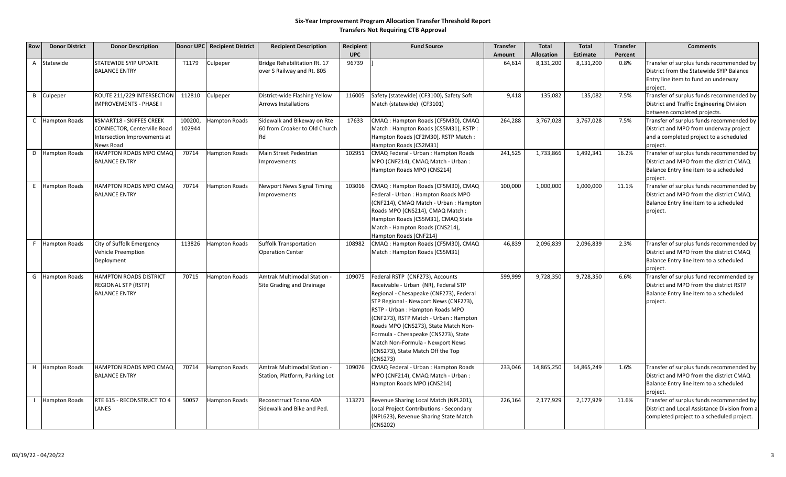### **Six‐Year Improvement Program Allocation Transfer Threshold Report Transfers Not Requiring CTB Approval**

| <b>Row</b>   | <b>Donor District</b> | <b>Donor Description</b>                                                                             |                   | Donor UPC Recipient District | <b>Recipient Description</b>                                       | Recipient  | <b>Fund Source</b>                                                                                                                                                                                                                                                                                                                                                                                            | <b>Transfer</b> | <b>Total</b>      | <b>Total</b>    | <b>Transfer</b> | <b>Comments</b>                                                                                                                           |
|--------------|-----------------------|------------------------------------------------------------------------------------------------------|-------------------|------------------------------|--------------------------------------------------------------------|------------|---------------------------------------------------------------------------------------------------------------------------------------------------------------------------------------------------------------------------------------------------------------------------------------------------------------------------------------------------------------------------------------------------------------|-----------------|-------------------|-----------------|-----------------|-------------------------------------------------------------------------------------------------------------------------------------------|
|              |                       |                                                                                                      |                   |                              |                                                                    | <b>UPC</b> |                                                                                                                                                                                                                                                                                                                                                                                                               | Amount          | <b>Allocation</b> | <b>Estimate</b> | Percent         |                                                                                                                                           |
| $\mathsf{A}$ | Statewide             | STATEWIDE SYIP UPDATE<br><b>BALANCE ENTRY</b>                                                        | T1179             | Culpeper                     | <b>Bridge Rehabilitation Rt. 17</b><br>over S Railway and Rt. 805  | 96739      |                                                                                                                                                                                                                                                                                                                                                                                                               | 64,614          | 8,131,200         | 8,131,200       | 0.8%            | Transfer of surplus funds recommended by<br>District from the Statewide SYIP Balance<br>Entry line item to fund an underway<br>project.   |
| $\mathsf{B}$ | Culpeper              | ROUTE 211/229 INTERSECTION<br><b>IMPROVEMENTS - PHASE I</b>                                          | 112810            | Culpeper                     | District-wide Flashing Yellow<br>Arrows Installations              | 116005     | Safety (statewide) (CF3100), Safety Soft<br>Match (statewide) (CF3101)                                                                                                                                                                                                                                                                                                                                        | 9,418           | 135,082           | 135,082         | 7.5%            | Transfer of surplus funds recommended by<br>District and Traffic Engineering Division<br>between completed projects.                      |
| $\mathsf{C}$ | <b>Hampton Roads</b>  | #SMART18 - SKIFFES CREEK<br>CONNECTOR, Centerville Road<br>Intersection Improvements at<br>News Road | 100200,<br>102944 | Hampton Roads                | Sidewalk and Bikeway on Rte<br>60 from Croaker to Old Church<br>Rd | 17633      | CMAQ: Hampton Roads (CF5M30), CMAQ<br>Match: Hampton Roads (CS5M31), RSTP:<br>Hampton Roads (CF2M30), RSTP Match:<br>Hampton Roads (CS2M31)                                                                                                                                                                                                                                                                   | 264,288         | 3,767,028         | 3,767,028       | 7.5%            | Transfer of surplus funds recommended by<br>District and MPO from underway project<br>and a completed project to a scheduled<br>project.  |
|              | D Hampton Roads       | HAMPTON ROADS MPO CMAQ<br><b>BALANCE ENTRY</b>                                                       | 70714             | Hampton Roads                | Main Street Pedestrian<br>Improvements                             | 102951     | CMAQ Federal - Urban : Hampton Roads<br>MPO (CNF214), CMAQ Match - Urban :<br>Hampton Roads MPO (CNS214)                                                                                                                                                                                                                                                                                                      | 241,525         | 1,733,866         | 1,492,341       | 16.2%           | Transfer of surplus funds recommended by<br>District and MPO from the district CMAQ<br>Balance Entry line item to a scheduled<br>project. |
|              | E Hampton Roads       | HAMPTON ROADS MPO CMAQ<br><b>BALANCE ENTRY</b>                                                       | 70714             | Hampton Roads                | Newport News Signal Timing<br>Improvements                         | 103016     | CMAQ : Hampton Roads (CF5M30), CMAQ<br>Federal - Urban : Hampton Roads MPO<br>(CNF214), CMAQ Match - Urban : Hampton<br>Roads MPO (CNS214), CMAQ Match:<br>Hampton Roads (CS5M31), CMAQ State<br>Match - Hampton Roads (CNS214),<br>Hampton Roads (CNF214)                                                                                                                                                    | 100,000         | 1,000,000         | 1,000,000       | 11.1%           | Transfer of surplus funds recommended by<br>District and MPO from the district CMAQ<br>Balance Entry line item to a scheduled<br>project. |
|              | F Hampton Roads       | City of Suffolk Emergency<br><b>Vehicle Preemption</b><br>Deployment                                 | 113826            | Hampton Roads                | <b>Suffolk Transportation</b><br><b>Operation Center</b>           | 108982     | CMAQ: Hampton Roads (CF5M30), CMAQ<br>Match: Hampton Roads (CS5M31)                                                                                                                                                                                                                                                                                                                                           | 46,839          | 2,096,839         | 2,096,839       | 2.3%            | Transfer of surplus funds recommended by<br>District and MPO from the district CMAQ<br>Balance Entry line item to a scheduled<br>project. |
| G            | <b>Hampton Roads</b>  | <b>HAMPTON ROADS DISTRICT</b><br><b>REGIONAL STP (RSTP)</b><br><b>BALANCE ENTRY</b>                  | 70715             | Hampton Roads                | Amtrak Multimodal Station<br>Site Grading and Drainage             | 109075     | Federal RSTP (CNF273), Accounts<br>Receivable - Urban (NR), Federal STP<br>Regional - Chesapeake (CNF273), Federal<br>STP Regional - Newport News (CNF273),<br>RSTP - Urban: Hampton Roads MPO<br>(CNF273), RSTP Match - Urban : Hampton<br>Roads MPO (CNS273), State Match Non-<br>Formula - Chesapeake (CNS273), State<br>Match Non-Formula - Newport News<br>(CNS273), State Match Off the Top<br>(CNS273) | 599,999         | 9,728,350         | 9,728,350       | 6.6%            | Transfer of surplus fund recommended by<br>District and MPO from the district RSTP<br>Balance Entry line item to a scheduled<br>project.  |
|              | H Hampton Roads       | HAMPTON ROADS MPO CMAQ<br><b>BALANCE ENTRY</b>                                                       | 70714             | Hampton Roads                | Amtrak Multimodal Station -<br>Station, Platform, Parking Lot      | 109076     | CMAQ Federal - Urban : Hampton Roads<br>MPO (CNF214), CMAQ Match - Urban :<br>Hampton Roads MPO (CNS214)                                                                                                                                                                                                                                                                                                      | 233,046         | 14,865,250        | 14,865,249      | 1.6%            | Transfer of surplus funds recommended by<br>District and MPO from the district CMAQ<br>Balance Entry line item to a scheduled<br>project. |
|              | <b>Hampton Roads</b>  | RTE 615 - RECONSTRUCT TO 4<br>LANES                                                                  | 50057             | Hampton Roads                | Reconstrruct Toano ADA<br>Sidewalk and Bike and Ped.               | 113271     | Revenue Sharing Local Match (NPL201),<br>Local Project Contributions - Secondary<br>(NPL623), Revenue Sharing State Match<br>(CNS202)                                                                                                                                                                                                                                                                         | 226,164         | 2,177,929         | 2,177,929       | 11.6%           | Transfer of surplus funds recommended by<br>District and Local Assistance Division from a<br>completed project to a scheduled project.    |